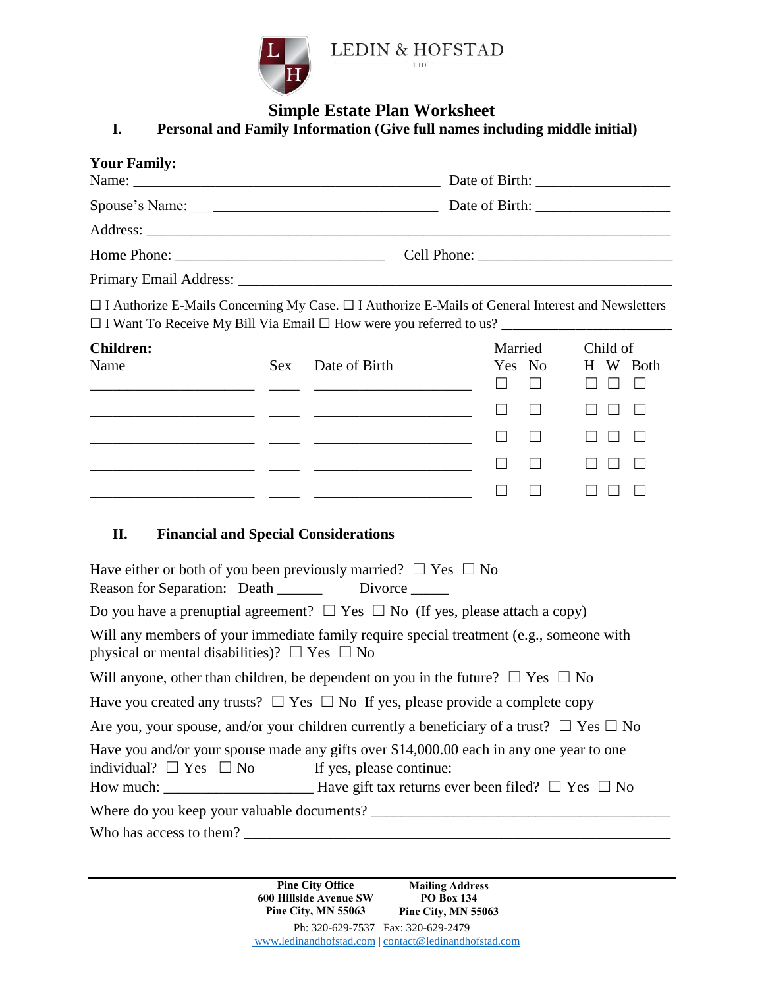

# **Simple Estate Plan Worksheet**

# **I. Personal and Family Information (Give full names including middle initial)**

| <b>Your Family:</b>                                                                                                                                                                                                       |            |                                                                |                        |                                                          |
|---------------------------------------------------------------------------------------------------------------------------------------------------------------------------------------------------------------------------|------------|----------------------------------------------------------------|------------------------|----------------------------------------------------------|
|                                                                                                                                                                                                                           |            |                                                                |                        |                                                          |
|                                                                                                                                                                                                                           |            |                                                                |                        |                                                          |
|                                                                                                                                                                                                                           |            |                                                                |                        |                                                          |
|                                                                                                                                                                                                                           |            |                                                                |                        |                                                          |
| $\Box$ I Authorize E-Mails Concerning My Case. $\Box$ I Authorize E-Mails of General Interest and Newsletters                                                                                                             |            |                                                                |                        |                                                          |
| <b>Children:</b><br>Name                                                                                                                                                                                                  | <b>Sex</b> | Date of Birth<br><u> 1988 - Johann Marie Barn, mars et al.</u> | Married<br>Yes No<br>⊔ | Child of<br>H W Both<br>$\Box$<br>$\Box$<br>$\mathbf{1}$ |
| <u> 1989 - Jan James James, mest ant</u>                                                                                                                                                                                  |            |                                                                |                        | $\Box$                                                   |
| <u> 2000 - Andrea Ann an Aonaichte ann an Aonaichte ann an Aonaichte ann an Aonaichte ann an Aonaichte ann an Aon</u>                                                                                                     |            |                                                                | П                      | $\Box$<br>$\perp$<br>$\perp$                             |
|                                                                                                                                                                                                                           |            |                                                                | П.                     | $\Box$<br>$\Box$                                         |
|                                                                                                                                                                                                                           |            |                                                                | $\Box$                 | $\Box$<br>$\Box$                                         |
| II.<br><b>Financial and Special Considerations</b><br>Have either or both of you been previously married? $\Box$ Yes $\Box$ No<br>Do you have a prenuptial agreement? $\Box$ Yes $\Box$ No (If yes, please attach a copy) |            |                                                                |                        |                                                          |
| Will any members of your immediate family require special treatment (e.g., someone with<br>physical or mental disabilities)? $\Box$ Yes $\Box$ No                                                                         |            |                                                                |                        |                                                          |
| Will anyone, other than children, be dependent on you in the future? $\Box$ Yes $\Box$ No                                                                                                                                 |            |                                                                |                        |                                                          |
| Have you created any trusts? $\Box$ Yes $\Box$ No If yes, please provide a complete copy                                                                                                                                  |            |                                                                |                        |                                                          |
| Are you, your spouse, and/or your children currently a beneficiary of a trust? $\Box$ Yes $\Box$ No                                                                                                                       |            |                                                                |                        |                                                          |
| Have you and/or your spouse made any gifts over \$14,000.00 each in any one year to one<br>individual? $\Box$ Yes $\Box$ No If yes, please continue:                                                                      |            |                                                                |                        |                                                          |
|                                                                                                                                                                                                                           |            |                                                                |                        |                                                          |
|                                                                                                                                                                                                                           |            |                                                                |                        |                                                          |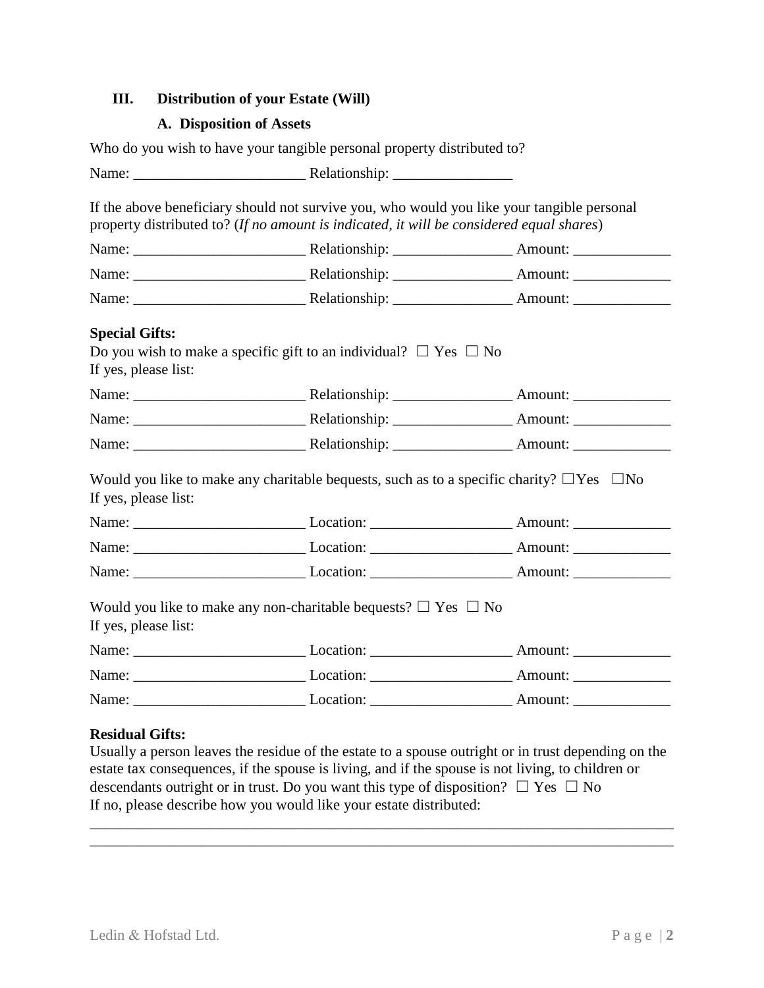## **III. Distribution of your Estate (Will)**

## **A. Disposition of Assets**

|                                               | Who do you wish to have your tangible personal property distributed to?                                                                                                                |  |  |  |
|-----------------------------------------------|----------------------------------------------------------------------------------------------------------------------------------------------------------------------------------------|--|--|--|
|                                               |                                                                                                                                                                                        |  |  |  |
|                                               | If the above beneficiary should not survive you, who would you like your tangible personal<br>property distributed to? (If no amount is indicated, it will be considered equal shares) |  |  |  |
|                                               |                                                                                                                                                                                        |  |  |  |
|                                               |                                                                                                                                                                                        |  |  |  |
|                                               |                                                                                                                                                                                        |  |  |  |
| <b>Special Gifts:</b><br>If yes, please list: | Do you wish to make a specific gift to an individual? $\Box$ Yes $\Box$ No                                                                                                             |  |  |  |
|                                               |                                                                                                                                                                                        |  |  |  |
|                                               |                                                                                                                                                                                        |  |  |  |
|                                               |                                                                                                                                                                                        |  |  |  |
| If yes, please list:                          | Would you like to make any charitable bequests, such as to a specific charity? $\Box$ Yes $\Box$ No                                                                                    |  |  |  |
|                                               |                                                                                                                                                                                        |  |  |  |
|                                               |                                                                                                                                                                                        |  |  |  |
|                                               |                                                                                                                                                                                        |  |  |  |
| If yes, please list:                          | Would you like to make any non-charitable bequests? $\Box$ Yes $\Box$ No                                                                                                               |  |  |  |
|                                               |                                                                                                                                                                                        |  |  |  |
|                                               |                                                                                                                                                                                        |  |  |  |
|                                               |                                                                                                                                                                                        |  |  |  |

## **Residual Gifts:**

Usually a person leaves the residue of the estate to a spouse outright or in trust depending on the estate tax consequences, if the spouse is living, and if the spouse is not living, to children or descendants outright or in trust. Do you want this type of disposition?  $\Box$  Yes  $\Box$  No If no, please describe how you would like your estate distributed:

\_\_\_\_\_\_\_\_\_\_\_\_\_\_\_\_\_\_\_\_\_\_\_\_\_\_\_\_\_\_\_\_\_\_\_\_\_\_\_\_\_\_\_\_\_\_\_\_\_\_\_\_\_\_\_\_\_\_\_\_\_\_\_\_\_\_\_\_\_\_\_\_\_\_\_\_\_\_ \_\_\_\_\_\_\_\_\_\_\_\_\_\_\_\_\_\_\_\_\_\_\_\_\_\_\_\_\_\_\_\_\_\_\_\_\_\_\_\_\_\_\_\_\_\_\_\_\_\_\_\_\_\_\_\_\_\_\_\_\_\_\_\_\_\_\_\_\_\_\_\_\_\_\_\_\_\_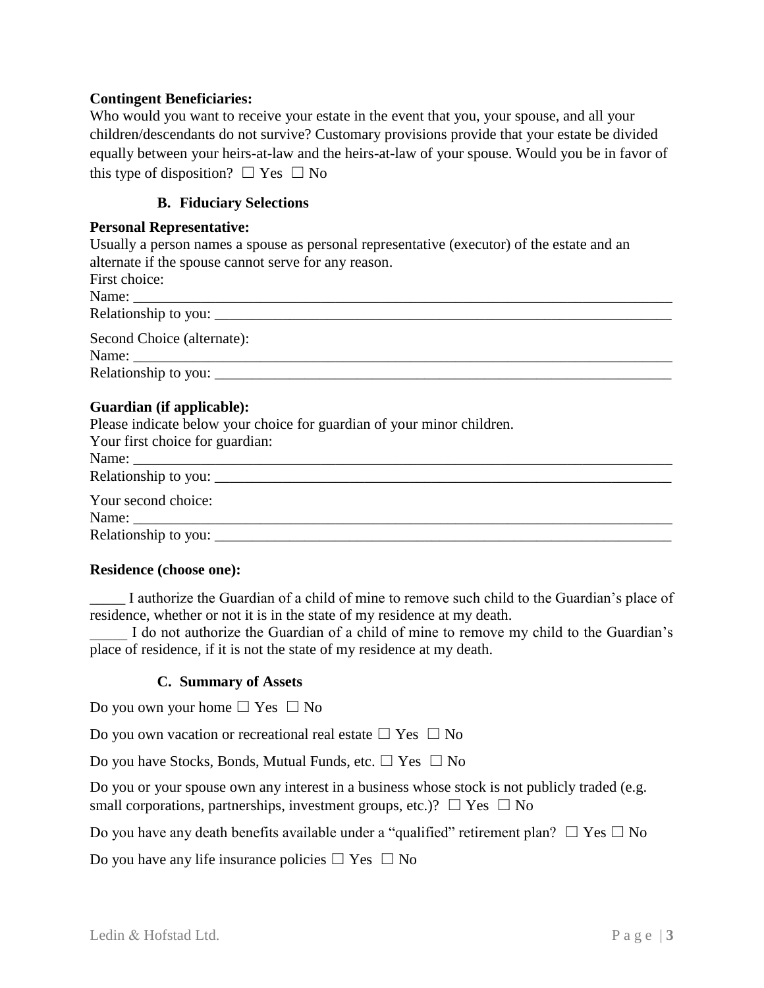## **Contingent Beneficiaries:**

Who would you want to receive your estate in the event that you, your spouse, and all your children/descendants do not survive? Customary provisions provide that your estate be divided equally between your heirs-at-law and the heirs-at-law of your spouse. Would you be in favor of this type of disposition?  $\Box$  Yes  $\Box$  No

## **B. Fiduciary Selections**

#### **Personal Representative:**

Usually a person names a spouse as personal representative (executor) of the estate and an alternate if the spouse cannot serve for any reason.

| First choice:                       |  |  |
|-------------------------------------|--|--|
|                                     |  |  |
|                                     |  |  |
| Second Choice (alternate):<br>Name: |  |  |
|                                     |  |  |
|                                     |  |  |

## **Guardian (if applicable):**

Please indicate below your choice for guardian of your minor children.

| Your first choice for guardian: |
|---------------------------------|
| Name:                           |
|                                 |
| Your second choice:             |
|                                 |

#### **Residence (choose one):**

\_\_\_\_\_ I authorize the Guardian of a child of mine to remove such child to the Guardian's place of residence, whether or not it is in the state of my residence at my death.

I do not authorize the Guardian of a child of mine to remove my child to the Guardian's place of residence, if it is not the state of my residence at my death.

## **C. Summary of Assets**

Do you own your home  $\Box$  Yes  $\Box$  No

Do you own vacation or recreational real estate  $\Box$  Yes  $\Box$  No

Do you have Stocks, Bonds, Mutual Funds, etc.  $\Box$  Yes  $\Box$  No

Do you or your spouse own any interest in a business whose stock is not publicly traded (e.g. small corporations, partnerships, investment groups, etc.)?  $\Box$  Yes  $\Box$  No

Do you have any death benefits available under a "qualified" retirement plan?  $\Box$  Yes  $\Box$  No

Do you have any life insurance policies  $\Box$  Yes  $\Box$  No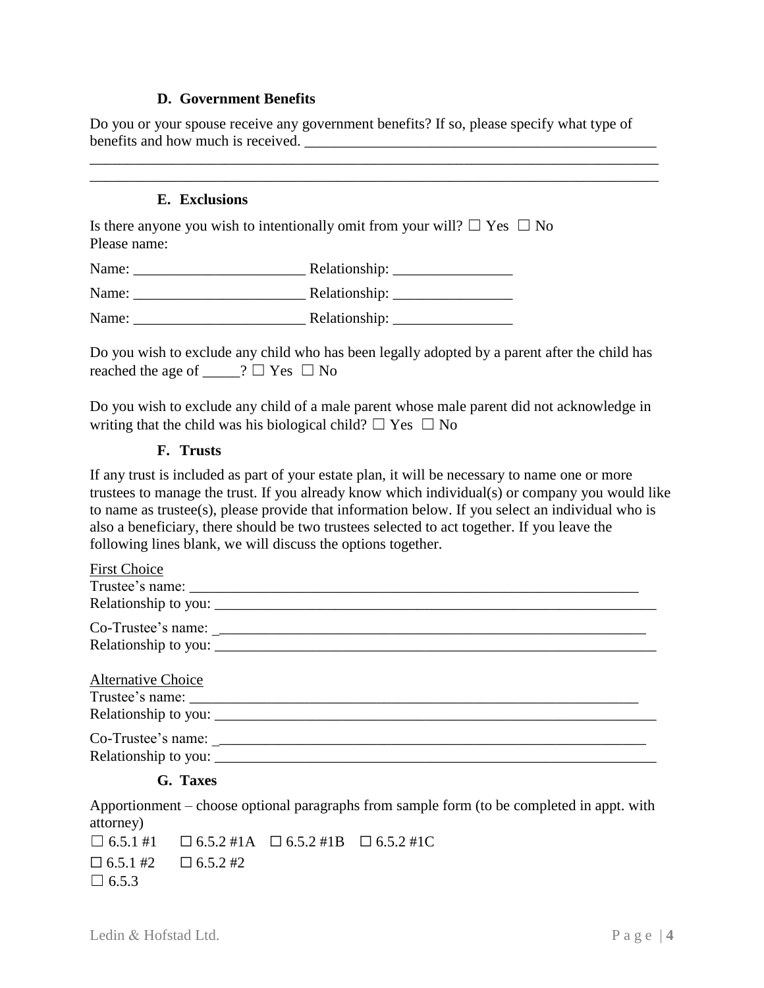## **D. Government Benefits**

Do you or your spouse receive any government benefits? If so, please specify what type of benefits and how much is received.

\_\_\_\_\_\_\_\_\_\_\_\_\_\_\_\_\_\_\_\_\_\_\_\_\_\_\_\_\_\_\_\_\_\_\_\_\_\_\_\_\_\_\_\_\_\_\_\_\_\_\_\_\_\_\_\_\_\_\_\_\_\_\_\_\_\_\_\_\_\_\_\_\_\_\_\_ \_\_\_\_\_\_\_\_\_\_\_\_\_\_\_\_\_\_\_\_\_\_\_\_\_\_\_\_\_\_\_\_\_\_\_\_\_\_\_\_\_\_\_\_\_\_\_\_\_\_\_\_\_\_\_\_\_\_\_\_\_\_\_\_\_\_\_\_\_\_\_\_\_\_\_\_

## **E. Exclusions**

Is there anyone you wish to intentionally omit from your will?  $\Box$  Yes  $\Box$  No Please name:

| Name: | Relationship: |
|-------|---------------|
| Name: | Relationship: |
| Name: | Relationship: |

Do you wish to exclude any child who has been legally adopted by a parent after the child has reached the age of  $\Box$  ?  $\Box$  Yes  $\Box$  No

Do you wish to exclude any child of a male parent whose male parent did not acknowledge in writing that the child was his biological child?  $\Box$  Yes  $\Box$  No

## **F. Trusts**

If any trust is included as part of your estate plan, it will be necessary to name one or more trustees to manage the trust. If you already know which individual(s) or company you would like to name as trustee(s), please provide that information below. If you select an individual who is also a beneficiary, there should be two trustees selected to act together. If you leave the following lines blank, we will discuss the options together.

## **G. Taxes**

Apportionment – choose optional paragraphs from sample form (to be completed in appt. with attorney)

|              | $\Box$ 6.5.1 #1 $\Box$ 6.5.2 #1A $\Box$ 6.5.2 #1B $\Box$ 6.5.2 #1C |  |
|--------------|--------------------------------------------------------------------|--|
|              | $\Box$ 6.5.1 #2 $\Box$ 6.5.2 #2                                    |  |
| $\Box$ 6.5.3 |                                                                    |  |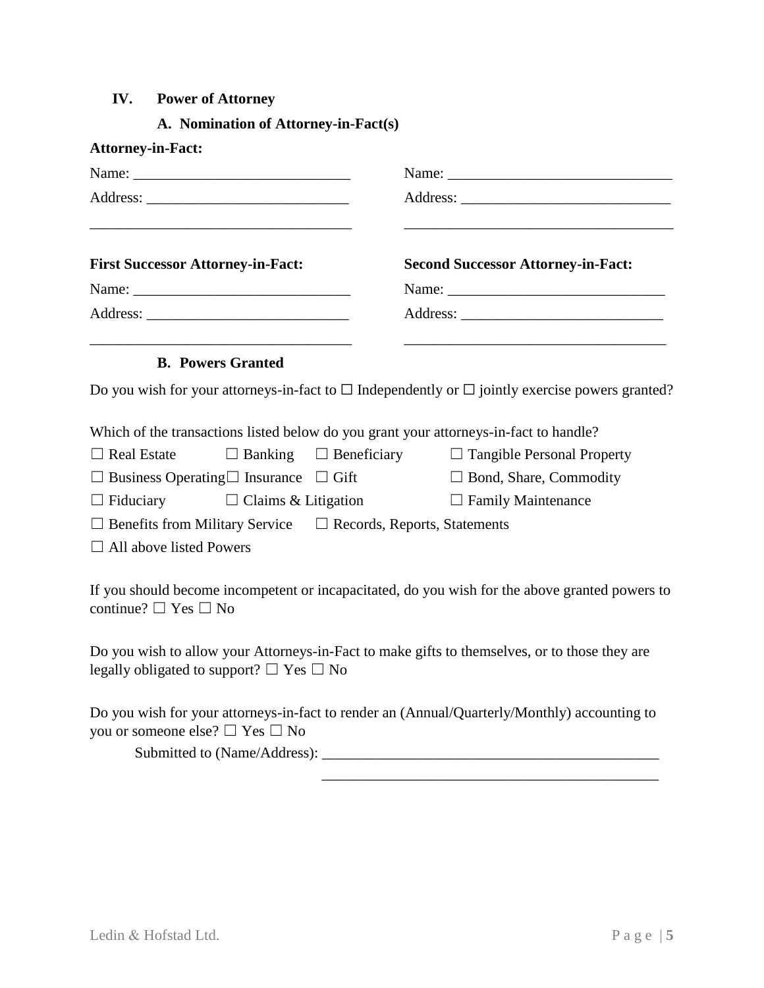## **IV. Power of Attorney**

## **A. Nomination of Attorney-in-Fact(s)**

| <b>Attorney-in-Fact:</b>                                                              |                                                                                                           |
|---------------------------------------------------------------------------------------|-----------------------------------------------------------------------------------------------------------|
|                                                                                       |                                                                                                           |
|                                                                                       |                                                                                                           |
| <b>First Successor Attorney-in-Fact:</b>                                              | <b>Second Successor Attorney-in-Fact:</b>                                                                 |
|                                                                                       |                                                                                                           |
|                                                                                       |                                                                                                           |
| <b>B. Powers Granted</b>                                                              |                                                                                                           |
|                                                                                       | Do you wish for your attorneys-in-fact to $\Box$ Independently or $\Box$ jointly exercise powers granted? |
| Which of the transactions listed below do you grant your attorneys-in-fact to handle? |                                                                                                           |
|                                                                                       | $\Box$ Real Estate $\Box$ Banking $\Box$ Beneficiary $\Box$ Tangible Personal Property                    |
| $\Box$ Business Operating $\Box$ Insurance $\Box$ Gift                                | $\Box$ Bond, Share, Commodity                                                                             |
| $\Box$ Fiduciary $\Box$ Claims & Litigation                                           | $\Box$ Family Maintenance                                                                                 |
| $\Box$ Benefits from Military Service $\Box$ Records, Reports, Statements             |                                                                                                           |
| $\Box$ All above listed Powers                                                        |                                                                                                           |
| continue? $\Box$ Yes $\Box$ No                                                        | If you should become incompetent or incapacitated, do you wish for the above granted powers to            |

Do you wish to allow your Attorneys-in-Fact to make gifts to themselves, or to those they are legally obligated to support?  $\Box$  Yes  $\Box$  No

Do you wish for your attorneys-in-fact to render an (Annual/Quarterly/Monthly) accounting to you or someone else? ☐ Yes ☐ No

Submitted to (Name/Address): \_\_\_\_\_\_\_\_\_\_\_\_\_\_\_\_\_\_\_\_\_\_\_\_\_\_\_\_\_\_\_\_\_\_\_\_\_\_\_\_\_\_\_\_\_